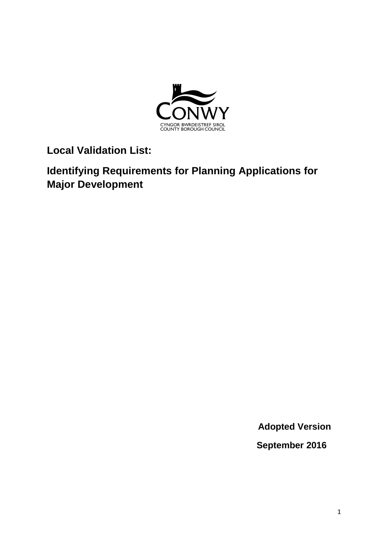

**Local Validation List:** 

**Identifying Requirements for Planning Applications for Major Development**

**Adopted Version**

 **September 2016**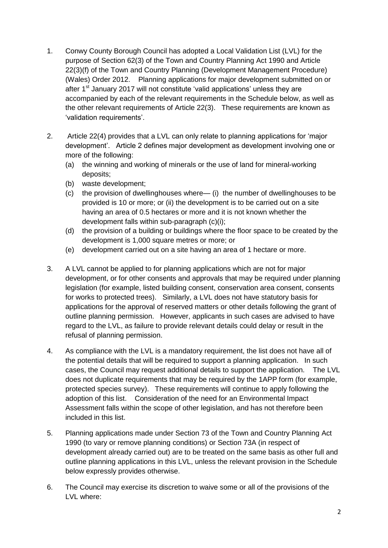- 1. Conwy County Borough Council has adopted a Local Validation List (LVL) for the purpose of Section 62(3) of the Town and Country Planning Act 1990 and Article 22(3)(f) of the Town and Country Planning (Development Management Procedure) (Wales) Order 2012. Planning applications for major development submitted on or after 1<sup>st</sup> January 2017 will not constitute 'valid applications' unless they are accompanied by each of the relevant requirements in the Schedule below, as well as the other relevant requirements of Article 22(3). These requirements are known as 'validation requirements'.
- 2. Article 22(4) provides that a LVL can only relate to planning applications for 'major development'. Article 2 defines major development as development involving one or more of the following:
	- (a) the winning and working of minerals or the use of land for mineral-working deposits;
	- (b) waste development;
	- (c) the provision of dwellinghouses where— (i) the number of dwellinghouses to be provided is 10 or more; or (ii) the development is to be carried out on a site having an area of 0.5 hectares or more and it is not known whether the development falls within sub-paragraph (c)(i);
	- (d) the provision of a building or buildings where the floor space to be created by the development is 1,000 square metres or more; or
	- (e) development carried out on a site having an area of 1 hectare or more.
- 3. A LVL cannot be applied to for planning applications which are not for major development, or for other consents and approvals that may be required under planning legislation (for example, listed building consent, conservation area consent, consents for works to protected trees). Similarly, a LVL does not have statutory basis for applications for the approval of reserved matters or other details following the grant of outline planning permission. However, applicants in such cases are advised to have regard to the LVL, as failure to provide relevant details could delay or result in the refusal of planning permission.
- 4. As compliance with the LVL is a mandatory requirement, the list does not have all of the potential details that will be required to support a planning application. In such cases, the Council may request additional details to support the application. The LVL does not duplicate requirements that may be required by the 1APP form (for example, protected species survey). These requirements will continue to apply following the adoption of this list. Consideration of the need for an Environmental Impact Assessment falls within the scope of other legislation, and has not therefore been included in this list.
- 5. Planning applications made under Section 73 of the Town and Country Planning Act 1990 (to vary or remove planning conditions) or Section 73A (in respect of development already carried out) are to be treated on the same basis as other full and outline planning applications in this LVL, unless the relevant provision in the Schedule below expressly provides otherwise.
- 6. The Council may exercise its discretion to waive some or all of the provisions of the LVL where: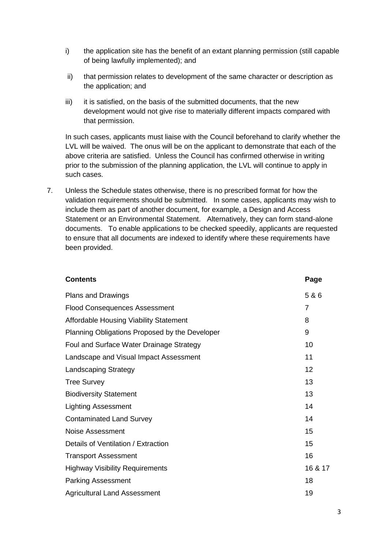- i) the application site has the benefit of an extant planning permission (still capable of being lawfully implemented); and
- ii) that permission relates to development of the same character or description as the application; and
- iii) it is satisfied, on the basis of the submitted documents, that the new development would not give rise to materially different impacts compared with that permission.

In such cases, applicants must liaise with the Council beforehand to clarify whether the LVL will be waived. The onus will be on the applicant to demonstrate that each of the above criteria are satisfied. Unless the Council has confirmed otherwise in writing prior to the submission of the planning application, the LVL will continue to apply in such cases.

7. Unless the Schedule states otherwise, there is no prescribed format for how the validation requirements should be submitted. In some cases, applicants may wish to include them as part of another document, for example, a Design and Access Statement or an Environmental Statement. Alternatively, they can form stand-alone documents. To enable applications to be checked speedily, applicants are requested to ensure that all documents are indexed to identify where these requirements have been provided.

| <b>Contents</b>                                | Page    |
|------------------------------------------------|---------|
| Plans and Drawings                             | 5 & 6   |
| <b>Flood Consequences Assessment</b>           | 7       |
| <b>Affordable Housing Viability Statement</b>  | 8       |
| Planning Obligations Proposed by the Developer | 9       |
| Foul and Surface Water Drainage Strategy       | 10      |
| Landscape and Visual Impact Assessment         | 11      |
| <b>Landscaping Strategy</b>                    | 12      |
| <b>Tree Survey</b>                             | 13      |
| <b>Biodiversity Statement</b>                  | 13      |
| <b>Lighting Assessment</b>                     | 14      |
| <b>Contaminated Land Survey</b>                | 14      |
| Noise Assessment                               | 15      |
| Details of Ventilation / Extraction            | 15      |
| <b>Transport Assessment</b>                    | 16      |
| <b>Highway Visibility Requirements</b>         | 16 & 17 |
| <b>Parking Assessment</b>                      | 18      |
| <b>Agricultural Land Assessment</b>            | 19      |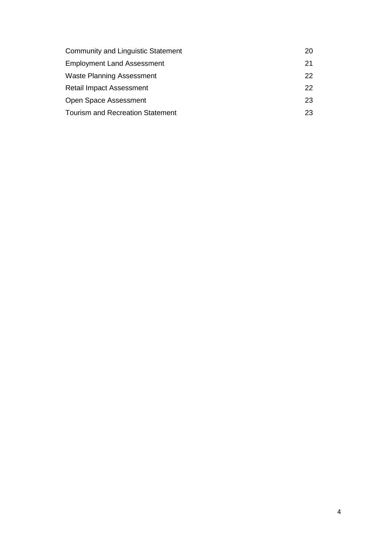| <b>Community and Linguistic Statement</b> | 20 |
|-------------------------------------------|----|
| <b>Employment Land Assessment</b>         | 21 |
| <b>Waste Planning Assessment</b>          | 22 |
| <b>Retail Impact Assessment</b>           | 22 |
| Open Space Assessment                     | 23 |
| <b>Tourism and Recreation Statement</b>   | 23 |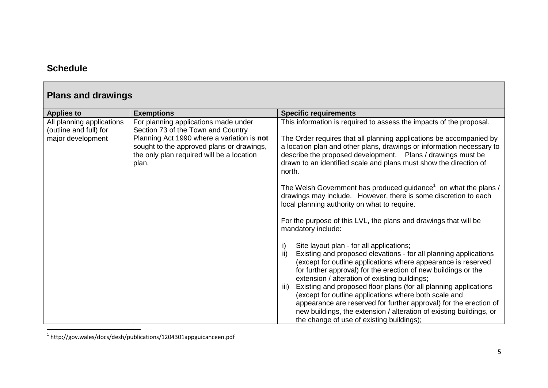### **Schedule**

| <b>Plans and drawings</b>                                                |                                                                                                                                                                                                                             |                                                                                                                                                                                                                                                                                                                                                                                                                                                                                                                                                                                                                                                                                                                                                                                                                                                                                                                                                                                                                                                                                                                                                                                                                                                           |
|--------------------------------------------------------------------------|-----------------------------------------------------------------------------------------------------------------------------------------------------------------------------------------------------------------------------|-----------------------------------------------------------------------------------------------------------------------------------------------------------------------------------------------------------------------------------------------------------------------------------------------------------------------------------------------------------------------------------------------------------------------------------------------------------------------------------------------------------------------------------------------------------------------------------------------------------------------------------------------------------------------------------------------------------------------------------------------------------------------------------------------------------------------------------------------------------------------------------------------------------------------------------------------------------------------------------------------------------------------------------------------------------------------------------------------------------------------------------------------------------------------------------------------------------------------------------------------------------|
| <b>Applies to</b>                                                        | <b>Exemptions</b>                                                                                                                                                                                                           | <b>Specific requirements</b>                                                                                                                                                                                                                                                                                                                                                                                                                                                                                                                                                                                                                                                                                                                                                                                                                                                                                                                                                                                                                                                                                                                                                                                                                              |
| All planning applications<br>(outline and full) for<br>major development | For planning applications made under<br>Section 73 of the Town and Country<br>Planning Act 1990 where a variation is not<br>sought to the approved plans or drawings,<br>the only plan required will be a location<br>plan. | This information is required to assess the impacts of the proposal.<br>The Order requires that all planning applications be accompanied by<br>a location plan and other plans, drawings or information necessary to<br>describe the proposed development. Plans / drawings must be<br>drawn to an identified scale and plans must show the direction of<br>north.<br>The Welsh Government has produced guidance <sup>1</sup> on what the plans /<br>drawings may include. However, there is some discretion to each<br>local planning authority on what to require.<br>For the purpose of this LVL, the plans and drawings that will be<br>mandatory include:<br>Site layout plan - for all applications;<br>ii)<br>Existing and proposed elevations - for all planning applications<br>(except for outline applications where appearance is reserved<br>for further approval) for the erection of new buildings or the<br>extension / alteration of existing buildings;<br>Existing and proposed floor plans (for all planning applications<br>iii)<br>(except for outline applications where both scale and<br>appearance are reserved for further approval) for the erection of<br>new buildings, the extension / alteration of existing buildings, or |
|                                                                          |                                                                                                                                                                                                                             | the change of use of existing buildings);                                                                                                                                                                                                                                                                                                                                                                                                                                                                                                                                                                                                                                                                                                                                                                                                                                                                                                                                                                                                                                                                                                                                                                                                                 |

1 http://gov.wales/docs/desh/publications/1204301appguicanceen.pdf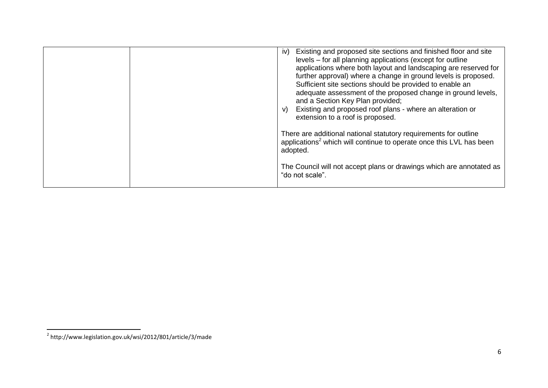|  | Existing and proposed site sections and finished floor and site<br>iv)<br>levels – for all planning applications (except for outline<br>applications where both layout and landscaping are reserved for<br>further approval) where a change in ground levels is proposed.<br>Sufficient site sections should be provided to enable an<br>adequate assessment of the proposed change in ground levels,<br>and a Section Key Plan provided;<br>Existing and proposed roof plans - where an alteration or<br>V)<br>extension to a roof is proposed. |
|--|--------------------------------------------------------------------------------------------------------------------------------------------------------------------------------------------------------------------------------------------------------------------------------------------------------------------------------------------------------------------------------------------------------------------------------------------------------------------------------------------------------------------------------------------------|
|  | There are additional national statutory requirements for outline<br>applications <sup>2</sup> which will continue to operate once this LVL has been<br>adopted.                                                                                                                                                                                                                                                                                                                                                                                  |
|  | The Council will not accept plans or drawings which are annotated as<br>"do not scale".                                                                                                                                                                                                                                                                                                                                                                                                                                                          |

 2 http://www.legislation.gov.uk/wsi/2012/801/article/3/made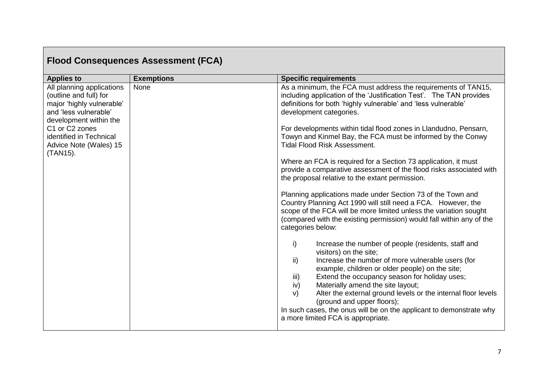|                                                                                                                                                                                                                        | <b>Flood Consequences Assessment (FCA)</b> |                                                                                                                                                                                                                                                                                                                                                                                                                                                                                                                                                                                                                                                                                                                                                                                                                                                                                                                                                                                                                                                                                                                                                                                                                                                                                                                                                                                                                                            |
|------------------------------------------------------------------------------------------------------------------------------------------------------------------------------------------------------------------------|--------------------------------------------|--------------------------------------------------------------------------------------------------------------------------------------------------------------------------------------------------------------------------------------------------------------------------------------------------------------------------------------------------------------------------------------------------------------------------------------------------------------------------------------------------------------------------------------------------------------------------------------------------------------------------------------------------------------------------------------------------------------------------------------------------------------------------------------------------------------------------------------------------------------------------------------------------------------------------------------------------------------------------------------------------------------------------------------------------------------------------------------------------------------------------------------------------------------------------------------------------------------------------------------------------------------------------------------------------------------------------------------------------------------------------------------------------------------------------------------------|
| <b>Applies to</b>                                                                                                                                                                                                      | <b>Exemptions</b>                          | <b>Specific requirements</b>                                                                                                                                                                                                                                                                                                                                                                                                                                                                                                                                                                                                                                                                                                                                                                                                                                                                                                                                                                                                                                                                                                                                                                                                                                                                                                                                                                                                               |
| All planning applications<br>(outline and full) for<br>major 'highly vulnerable'<br>and 'less vulnerable'<br>development within the<br>C1 or C2 zones<br>identified in Technical<br>Advice Note (Wales) 15<br>(TAN15). | None                                       | As a minimum, the FCA must address the requirements of TAN15,<br>including application of the 'Justification Test'. The TAN provides<br>definitions for both 'highly vulnerable' and 'less vulnerable'<br>development categories.<br>For developments within tidal flood zones in Llandudno, Pensarn,<br>Towyn and Kinmel Bay, the FCA must be informed by the Conwy<br><b>Tidal Flood Risk Assessment.</b><br>Where an FCA is required for a Section 73 application, it must<br>provide a comparative assessment of the flood risks associated with<br>the proposal relative to the extant permission.<br>Planning applications made under Section 73 of the Town and<br>Country Planning Act 1990 will still need a FCA. However, the<br>scope of the FCA will be more limited unless the variation sought<br>(compared with the existing permission) would fall within any of the<br>categories below:<br>Increase the number of people (residents, staff and<br>i)<br>visitors) on the site;<br>Increase the number of more vulnerable users (for<br>ii)<br>example, children or older people) on the site;<br>Extend the occupancy season for holiday uses;<br>iii)<br>Materially amend the site layout;<br>iv)<br>Alter the external ground levels or the internal floor levels<br>$\vee$<br>(ground and upper floors);<br>In such cases, the onus will be on the applicant to demonstrate why<br>a more limited FCA is appropriate. |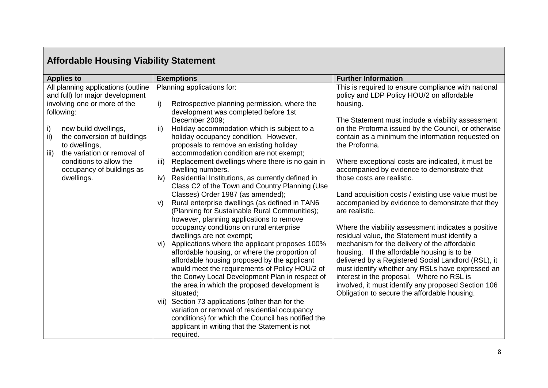| <b>Affordable Housing Viability Statement</b>                                                                                                                                                                                                                                                                         |                                                                                                                                                                                                                                                                                                                                                                                                                                                                                                                                                                                                                                                                                                                                                                                                                                                                                                                                                                                                                                                                                                                                                                                                                                                                                                                                                         |                                                                                                                                                                                                                                                                                                                                                                                                                                                                                                                                                                                                                                                                                                                                                                                                                                                                                                                                                                                                                                     |
|-----------------------------------------------------------------------------------------------------------------------------------------------------------------------------------------------------------------------------------------------------------------------------------------------------------------------|---------------------------------------------------------------------------------------------------------------------------------------------------------------------------------------------------------------------------------------------------------------------------------------------------------------------------------------------------------------------------------------------------------------------------------------------------------------------------------------------------------------------------------------------------------------------------------------------------------------------------------------------------------------------------------------------------------------------------------------------------------------------------------------------------------------------------------------------------------------------------------------------------------------------------------------------------------------------------------------------------------------------------------------------------------------------------------------------------------------------------------------------------------------------------------------------------------------------------------------------------------------------------------------------------------------------------------------------------------|-------------------------------------------------------------------------------------------------------------------------------------------------------------------------------------------------------------------------------------------------------------------------------------------------------------------------------------------------------------------------------------------------------------------------------------------------------------------------------------------------------------------------------------------------------------------------------------------------------------------------------------------------------------------------------------------------------------------------------------------------------------------------------------------------------------------------------------------------------------------------------------------------------------------------------------------------------------------------------------------------------------------------------------|
| <b>Applies to</b>                                                                                                                                                                                                                                                                                                     | <b>Exemptions</b>                                                                                                                                                                                                                                                                                                                                                                                                                                                                                                                                                                                                                                                                                                                                                                                                                                                                                                                                                                                                                                                                                                                                                                                                                                                                                                                                       | <b>Further Information</b>                                                                                                                                                                                                                                                                                                                                                                                                                                                                                                                                                                                                                                                                                                                                                                                                                                                                                                                                                                                                          |
| All planning applications (outline<br>and full) for major development<br>involving one or more of the<br>following:<br>i)<br>new build dwellings,<br>ii)<br>the conversion of buildings<br>to dwellings,<br>the variation or removal of<br>iii)<br>conditions to allow the<br>occupancy of buildings as<br>dwellings. | Planning applications for:<br>i)<br>Retrospective planning permission, where the<br>development was completed before 1st<br>December 2009;<br>ii)<br>Holiday accommodation which is subject to a<br>holiday occupancy condition. However,<br>proposals to remove an existing holiday<br>accommodation condition are not exempt;<br>iii)<br>Replacement dwellings where there is no gain in<br>dwelling numbers.<br>Residential Institutions, as currently defined in<br>iv)<br>Class C2 of the Town and Country Planning (Use<br>Classes) Order 1987 (as amended);<br>Rural enterprise dwellings (as defined in TAN6<br>V)<br>(Planning for Sustainable Rural Communities);<br>however, planning applications to remove<br>occupancy conditions on rural enterprise<br>dwellings are not exempt;<br>Applications where the applicant proposes 100%<br>vi)<br>affordable housing, or where the proportion of<br>affordable housing proposed by the applicant<br>would meet the requirements of Policy HOU/2 of<br>the Conwy Local Development Plan in respect of<br>the area in which the proposed development is<br>situated;<br>vii) Section 73 applications (other than for the<br>variation or removal of residential occupancy<br>conditions) for which the Council has notified the<br>applicant in writing that the Statement is not<br>required. | This is required to ensure compliance with national<br>policy and LDP Policy HOU/2 on affordable<br>housing.<br>The Statement must include a viability assessment<br>on the Proforma issued by the Council, or otherwise<br>contain as a minimum the information requested on<br>the Proforma.<br>Where exceptional costs are indicated, it must be<br>accompanied by evidence to demonstrate that<br>those costs are realistic.<br>Land acquisition costs / existing use value must be<br>accompanied by evidence to demonstrate that they<br>are realistic.<br>Where the viability assessment indicates a positive<br>residual value, the Statement must identify a<br>mechanism for the delivery of the affordable<br>housing. If the affordable housing is to be<br>delivered by a Registered Social Landlord (RSL), it<br>must identify whether any RSLs have expressed an<br>interest in the proposal. Where no RSL is<br>involved, it must identify any proposed Section 106<br>Obligation to secure the affordable housing. |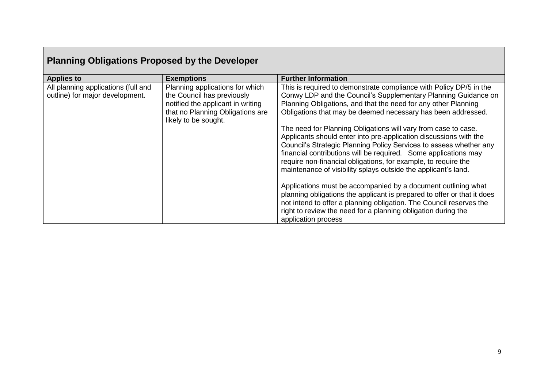| <b>Planning Obligations Proposed by the Developer</b>                  |                                                                                                                                                                |                                                                                                                                                                                                                                                                                                                                                                                                                                                                                                                                                                                                                                                                                                                                                                                                                                                                                                                                                                                                       |
|------------------------------------------------------------------------|----------------------------------------------------------------------------------------------------------------------------------------------------------------|-------------------------------------------------------------------------------------------------------------------------------------------------------------------------------------------------------------------------------------------------------------------------------------------------------------------------------------------------------------------------------------------------------------------------------------------------------------------------------------------------------------------------------------------------------------------------------------------------------------------------------------------------------------------------------------------------------------------------------------------------------------------------------------------------------------------------------------------------------------------------------------------------------------------------------------------------------------------------------------------------------|
| <b>Applies to</b>                                                      | <b>Exemptions</b>                                                                                                                                              | <b>Further Information</b>                                                                                                                                                                                                                                                                                                                                                                                                                                                                                                                                                                                                                                                                                                                                                                                                                                                                                                                                                                            |
| All planning applications (full and<br>outline) for major development. | Planning applications for which<br>the Council has previously<br>notified the applicant in writing<br>that no Planning Obligations are<br>likely to be sought. | This is required to demonstrate compliance with Policy DP/5 in the<br>Conwy LDP and the Council's Supplementary Planning Guidance on<br>Planning Obligations, and that the need for any other Planning<br>Obligations that may be deemed necessary has been addressed.<br>The need for Planning Obligations will vary from case to case.<br>Applicants should enter into pre-application discussions with the<br>Council's Strategic Planning Policy Services to assess whether any<br>financial contributions will be required. Some applications may<br>require non-financial obligations, for example, to require the<br>maintenance of visibility splays outside the applicant's land.<br>Applications must be accompanied by a document outlining what<br>planning obligations the applicant is prepared to offer or that it does<br>not intend to offer a planning obligation. The Council reserves the<br>right to review the need for a planning obligation during the<br>application process |

#### **Planning Obligations Proposed by the Developer**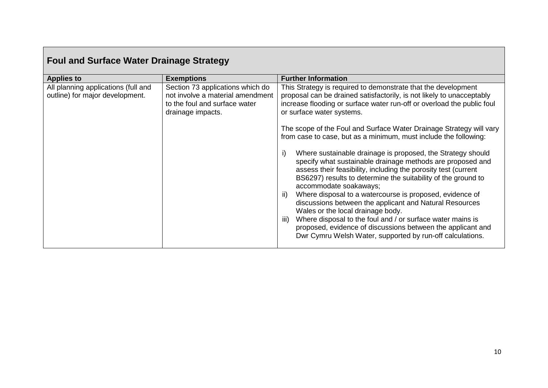| <b>Foul and Surface Water Drainage Strategy</b>                        |                                                                                                                            |                                                                                                                                                                                                                                                                                                                                                                                                                                                                                                                                                                                                                                                             |
|------------------------------------------------------------------------|----------------------------------------------------------------------------------------------------------------------------|-------------------------------------------------------------------------------------------------------------------------------------------------------------------------------------------------------------------------------------------------------------------------------------------------------------------------------------------------------------------------------------------------------------------------------------------------------------------------------------------------------------------------------------------------------------------------------------------------------------------------------------------------------------|
| <b>Applies to</b>                                                      | <b>Exemptions</b>                                                                                                          | <b>Further Information</b>                                                                                                                                                                                                                                                                                                                                                                                                                                                                                                                                                                                                                                  |
| All planning applications (full and<br>outline) for major development. | Section 73 applications which do<br>not involve a material amendment<br>to the foul and surface water<br>drainage impacts. | This Strategy is required to demonstrate that the development<br>proposal can be drained satisfactorily, is not likely to unacceptably<br>increase flooding or surface water run-off or overload the public foul<br>or surface water systems.                                                                                                                                                                                                                                                                                                                                                                                                               |
|                                                                        |                                                                                                                            | The scope of the Foul and Surface Water Drainage Strategy will vary<br>from case to case, but as a minimum, must include the following:                                                                                                                                                                                                                                                                                                                                                                                                                                                                                                                     |
|                                                                        |                                                                                                                            | Where sustainable drainage is proposed, the Strategy should<br>specify what sustainable drainage methods are proposed and<br>assess their feasibility, including the porosity test (current<br>BS6297) results to determine the suitability of the ground to<br>accommodate soakaways;<br>Where disposal to a watercourse is proposed, evidence of<br>ii)<br>discussions between the applicant and Natural Resources<br>Wales or the local drainage body.<br>Where disposal to the foul and / or surface water mains is<br>iii)<br>proposed, evidence of discussions between the applicant and<br>Dwr Cymru Welsh Water, supported by run-off calculations. |

 $\blacksquare$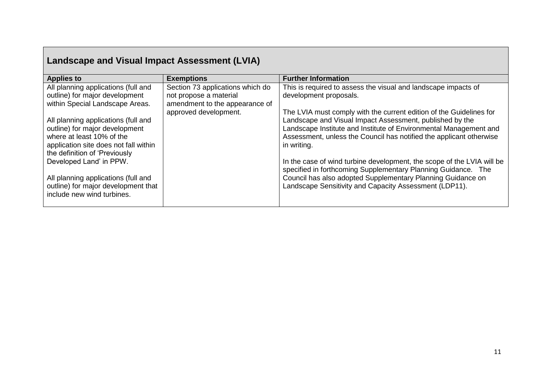| <b>Landscape and Visual Impact Assessment (LVIA)</b>                                                                                                                         |                                                                                              |                                                                                                                                                                                                                                                                                            |
|------------------------------------------------------------------------------------------------------------------------------------------------------------------------------|----------------------------------------------------------------------------------------------|--------------------------------------------------------------------------------------------------------------------------------------------------------------------------------------------------------------------------------------------------------------------------------------------|
| <b>Applies to</b>                                                                                                                                                            | <b>Exemptions</b>                                                                            | <b>Further Information</b>                                                                                                                                                                                                                                                                 |
| All planning applications (full and<br>outline) for major development<br>within Special Landscape Areas.                                                                     | Section 73 applications which do<br>not propose a material<br>amendment to the appearance of | This is required to assess the visual and landscape impacts of<br>development proposals.                                                                                                                                                                                                   |
| All planning applications (full and<br>outline) for major development<br>where at least 10% of the<br>application site does not fall within<br>the definition of 'Previously | approved development.                                                                        | The LVIA must comply with the current edition of the Guidelines for<br>Landscape and Visual Impact Assessment, published by the<br>Landscape Institute and Institute of Environmental Management and<br>Assessment, unless the Council has notified the applicant otherwise<br>in writing. |
| Developed Land' in PPW.<br>All planning applications (full and<br>outline) for major development that<br>include new wind turbines.                                          |                                                                                              | In the case of wind turbine development, the scope of the LVIA will be<br>specified in forthcoming Supplementary Planning Guidance. The<br>Council has also adopted Supplementary Planning Guidance on<br>Landscape Sensitivity and Capacity Assessment (LDP11).                           |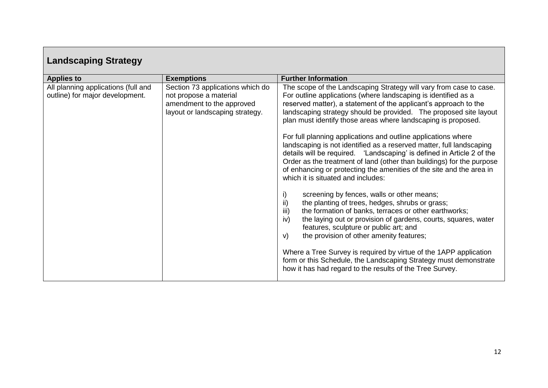| Landscaping Strategy                                                   |                                                                                                                            |                                                                                                                                                                                                                                                                                                                                                                                                                                                                                                                                                                                                                                                                                                                                                                                                                                                                                                                                                                                                                                                                                                                                                                                                                                                                                                                   |
|------------------------------------------------------------------------|----------------------------------------------------------------------------------------------------------------------------|-------------------------------------------------------------------------------------------------------------------------------------------------------------------------------------------------------------------------------------------------------------------------------------------------------------------------------------------------------------------------------------------------------------------------------------------------------------------------------------------------------------------------------------------------------------------------------------------------------------------------------------------------------------------------------------------------------------------------------------------------------------------------------------------------------------------------------------------------------------------------------------------------------------------------------------------------------------------------------------------------------------------------------------------------------------------------------------------------------------------------------------------------------------------------------------------------------------------------------------------------------------------------------------------------------------------|
| <b>Applies to</b>                                                      | <b>Exemptions</b>                                                                                                          | <b>Further Information</b>                                                                                                                                                                                                                                                                                                                                                                                                                                                                                                                                                                                                                                                                                                                                                                                                                                                                                                                                                                                                                                                                                                                                                                                                                                                                                        |
| All planning applications (full and<br>outline) for major development. | Section 73 applications which do<br>not propose a material<br>amendment to the approved<br>layout or landscaping strategy. | The scope of the Landscaping Strategy will vary from case to case.<br>For outline applications (where landscaping is identified as a<br>reserved matter), a statement of the applicant's approach to the<br>landscaping strategy should be provided. The proposed site layout<br>plan must identify those areas where landscaping is proposed.<br>For full planning applications and outline applications where<br>landscaping is not identified as a reserved matter, full landscaping<br>details will be required. 'Landscaping' is defined in Article 2 of the<br>Order as the treatment of land (other than buildings) for the purpose<br>of enhancing or protecting the amenities of the site and the area in<br>which it is situated and includes:<br>screening by fences, walls or other means;<br>i)<br>ii)<br>the planting of trees, hedges, shrubs or grass;<br>iii)<br>the formation of banks, terraces or other earthworks;<br>iv)<br>the laying out or provision of gardens, courts, squares, water<br>features, sculpture or public art; and<br>the provision of other amenity features;<br>V)<br>Where a Tree Survey is required by virtue of the 1APP application<br>form or this Schedule, the Landscaping Strategy must demonstrate<br>how it has had regard to the results of the Tree Survey. |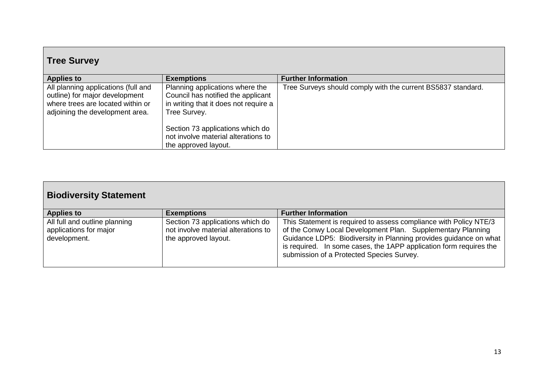| <b>Tree Survey</b>                                                                                                                            |                                                                                                                                |                                                              |
|-----------------------------------------------------------------------------------------------------------------------------------------------|--------------------------------------------------------------------------------------------------------------------------------|--------------------------------------------------------------|
| <b>Applies to</b>                                                                                                                             | <b>Exemptions</b>                                                                                                              | <b>Further Information</b>                                   |
| All planning applications (full and<br>outline) for major development<br>where trees are located within or<br>adjoining the development area. | Planning applications where the<br>Council has notified the applicant<br>in writing that it does not require a<br>Tree Survey. | Tree Surveys should comply with the current BS5837 standard. |
|                                                                                                                                               | Section 73 applications which do<br>not involve material alterations to<br>the approved layout.                                |                                                              |

| <b>Biodiversity Statement</b>                                           |                                                                                                 |                                                                                                                                                                                                                                                                                                                          |
|-------------------------------------------------------------------------|-------------------------------------------------------------------------------------------------|--------------------------------------------------------------------------------------------------------------------------------------------------------------------------------------------------------------------------------------------------------------------------------------------------------------------------|
| <b>Applies to</b>                                                       | <b>Exemptions</b>                                                                               | <b>Further Information</b>                                                                                                                                                                                                                                                                                               |
| All full and outline planning<br>applications for major<br>development. | Section 73 applications which do<br>not involve material alterations to<br>the approved layout. | This Statement is required to assess compliance with Policy NTE/3<br>of the Conwy Local Development Plan. Supplementary Planning<br>Guidance LDP5: Biodiversity in Planning provides guidance on what<br>is required. In some cases, the 1APP application form requires the<br>submission of a Protected Species Survey. |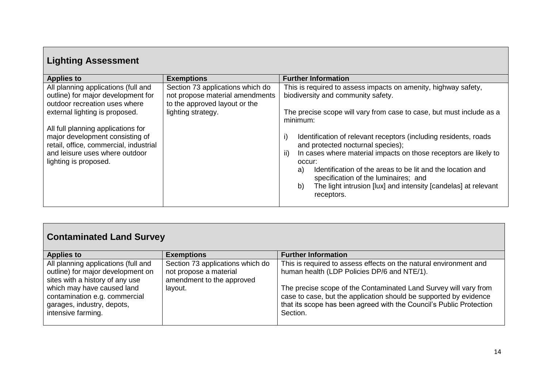| <b>Lighting Assessment</b>                                                                                                                                                 |                                                                                                      |                                                                                                                                                                                                                                                                                                                                                                                                    |
|----------------------------------------------------------------------------------------------------------------------------------------------------------------------------|------------------------------------------------------------------------------------------------------|----------------------------------------------------------------------------------------------------------------------------------------------------------------------------------------------------------------------------------------------------------------------------------------------------------------------------------------------------------------------------------------------------|
| <b>Applies to</b>                                                                                                                                                          | <b>Exemptions</b>                                                                                    | <b>Further Information</b>                                                                                                                                                                                                                                                                                                                                                                         |
| All planning applications (full and<br>outline) for major development for<br>outdoor recreation uses where                                                                 | Section 73 applications which do<br>not propose material amendments<br>to the approved layout or the | This is required to assess impacts on amenity, highway safety,<br>biodiversity and community safety.                                                                                                                                                                                                                                                                                               |
| external lighting is proposed.                                                                                                                                             | lighting strategy.                                                                                   | The precise scope will vary from case to case, but must include as a<br>minimum:                                                                                                                                                                                                                                                                                                                   |
| All full planning applications for<br>major development consisting of<br>retail, office, commercial, industrial<br>and leisure uses where outdoor<br>lighting is proposed. |                                                                                                      | Identification of relevant receptors (including residents, roads<br>i)<br>and protected nocturnal species);<br>In cases where material impacts on those receptors are likely to<br>ii)<br>occur:<br>Identification of the areas to be lit and the location and<br>a)<br>specification of the luminaires; and<br>The light intrusion [lux] and intensity [candelas] at relevant<br>b)<br>receptors. |

| <b>Contaminated Land Survey</b>                                                                                                                                                                                                |                                                                                                    |                                                                                                                                                                                                                                                                                                                                              |
|--------------------------------------------------------------------------------------------------------------------------------------------------------------------------------------------------------------------------------|----------------------------------------------------------------------------------------------------|----------------------------------------------------------------------------------------------------------------------------------------------------------------------------------------------------------------------------------------------------------------------------------------------------------------------------------------------|
| <b>Applies to</b>                                                                                                                                                                                                              | <b>Exemptions</b>                                                                                  | <b>Further Information</b>                                                                                                                                                                                                                                                                                                                   |
| All planning applications (full and<br>outline) for major development on<br>sites with a history of any use<br>which may have caused land<br>contamination e.g. commercial<br>garages, industry, depots,<br>intensive farming. | Section 73 applications which do<br>not propose a material<br>amendment to the approved<br>layout. | This is required to assess effects on the natural environment and<br>human health (LDP Policies DP/6 and NTE/1).<br>The precise scope of the Contaminated Land Survey will vary from<br>case to case, but the application should be supported by evidence<br>that its scope has been agreed with the Council's Public Protection<br>Section. |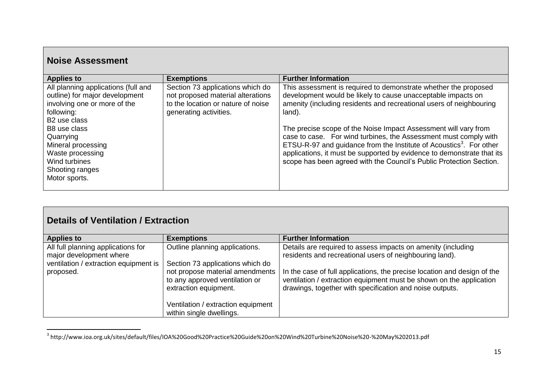| <b>Noise Assessment</b>                                                                                                                                                                                                                                                     |                                                                                                                                       |                                                                                                                                                                                                                                                                                                                                                                                                                                                                                                                                                                                             |
|-----------------------------------------------------------------------------------------------------------------------------------------------------------------------------------------------------------------------------------------------------------------------------|---------------------------------------------------------------------------------------------------------------------------------------|---------------------------------------------------------------------------------------------------------------------------------------------------------------------------------------------------------------------------------------------------------------------------------------------------------------------------------------------------------------------------------------------------------------------------------------------------------------------------------------------------------------------------------------------------------------------------------------------|
| <b>Applies to</b>                                                                                                                                                                                                                                                           | <b>Exemptions</b>                                                                                                                     | <b>Further Information</b>                                                                                                                                                                                                                                                                                                                                                                                                                                                                                                                                                                  |
| All planning applications (full and<br>outline) for major development<br>involving one or more of the<br>following:<br>B <sub>2</sub> use class<br>B8 use class<br>Quarrying<br>Mineral processing<br>Waste processing<br>Wind turbines<br>Shooting ranges<br>Motor sports. | Section 73 applications which do<br>not proposed material alterations<br>to the location or nature of noise<br>generating activities. | This assessment is required to demonstrate whether the proposed<br>development would be likely to cause unacceptable impacts on<br>amenity (including residents and recreational users of neighbouring<br>land).<br>The precise scope of the Noise Impact Assessment will vary from<br>case to case. For wind turbines, the Assessment must comply with<br>ETSU-R-97 and guidance from the Institute of Acoustics <sup>3</sup> . For other<br>applications, it must be supported by evidence to demonstrate that its<br>scope has been agreed with the Council's Public Protection Section. |

#### **Details of Ventilation / Extraction**

| <b>Applies to</b>                     | <b>Exemptions</b>                                                                          | <b>Further Information</b>                                                                                                                                                                                  |
|---------------------------------------|--------------------------------------------------------------------------------------------|-------------------------------------------------------------------------------------------------------------------------------------------------------------------------------------------------------------|
| All full planning applications for    | Outline planning applications.                                                             | Details are required to assess impacts on amenity (including                                                                                                                                                |
| major development where               |                                                                                            | residents and recreational users of neighbouring land).                                                                                                                                                     |
| ventilation / extraction equipment is | Section 73 applications which do                                                           |                                                                                                                                                                                                             |
| proposed.                             | not propose material amendments<br>to any approved ventilation or<br>extraction equipment. | In the case of full applications, the precise location and design of the<br>ventilation / extraction equipment must be shown on the application<br>drawings, together with specification and noise outputs. |
|                                       | Ventilation / extraction equipment<br>within single dwellings.                             |                                                                                                                                                                                                             |

 3 http://www.ioa.org.uk/sites/default/files/IOA%20Good%20Practice%20Guide%20on%20Wind%20Turbine%20Noise%20-%20May%202013.pdf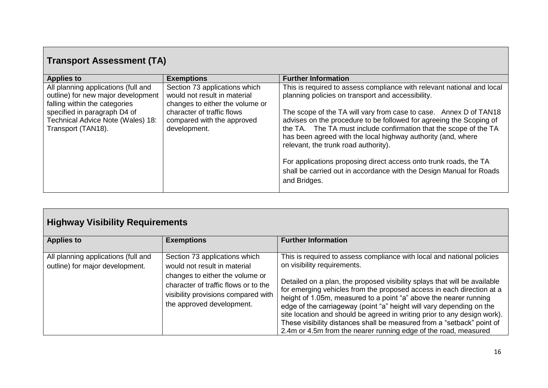# **Transport Assessment (TA)**

| <b>Applies to</b>                                                                                          | <b>Exemptions</b>                                                                                | <b>Further Information</b>                                                                                                                                                                                                                                                                                            |
|------------------------------------------------------------------------------------------------------------|--------------------------------------------------------------------------------------------------|-----------------------------------------------------------------------------------------------------------------------------------------------------------------------------------------------------------------------------------------------------------------------------------------------------------------------|
| All planning applications (full and<br>outline) for new major development<br>falling within the categories | Section 73 applications which<br>would not result in material<br>changes to either the volume or | This is required to assess compliance with relevant national and local<br>planning policies on transport and accessibility.                                                                                                                                                                                           |
| specified in paragraph D4 of<br>Technical Advice Note (Wales) 18:<br>Transport (TAN18).                    | character of traffic flows<br>compared with the approved<br>development.                         | The scope of the TA will vary from case to case. Annex D of TAN18<br>advises on the procedure to be followed for agreeing the Scoping of<br>the TA. The TA must include confirmation that the scope of the TA<br>has been agreed with the local highway authority (and, where<br>relevant, the trunk road authority). |
|                                                                                                            |                                                                                                  | For applications proposing direct access onto trunk roads, the TA<br>shall be carried out in accordance with the Design Manual for Roads<br>and Bridges.                                                                                                                                                              |

# **Highway Visibility Requirements**

| <b>Applies to</b>                                                      | <b>Exemptions</b>                                                                                                                                                                                            | <b>Further Information</b>                                                                                                                                                                                                                                                                                                                                                                                                                                                                                                                                                                                                        |
|------------------------------------------------------------------------|--------------------------------------------------------------------------------------------------------------------------------------------------------------------------------------------------------------|-----------------------------------------------------------------------------------------------------------------------------------------------------------------------------------------------------------------------------------------------------------------------------------------------------------------------------------------------------------------------------------------------------------------------------------------------------------------------------------------------------------------------------------------------------------------------------------------------------------------------------------|
| All planning applications (full and<br>outline) for major development. | Section 73 applications which<br>would not result in material<br>changes to either the volume or<br>character of traffic flows or to the<br>visibility provisions compared with<br>the approved development. | This is required to assess compliance with local and national policies<br>on visibility requirements.<br>Detailed on a plan, the proposed visibility splays that will be available<br>for emerging vehicles from the proposed access in each direction at a<br>height of 1.05m, measured to a point "a" above the nearer running<br>edge of the carriageway (point "a" height will vary depending on the<br>site location and should be agreed in writing prior to any design work).<br>These visibility distances shall be measured from a "setback" point of<br>2.4m or 4.5m from the nearer running edge of the road, measured |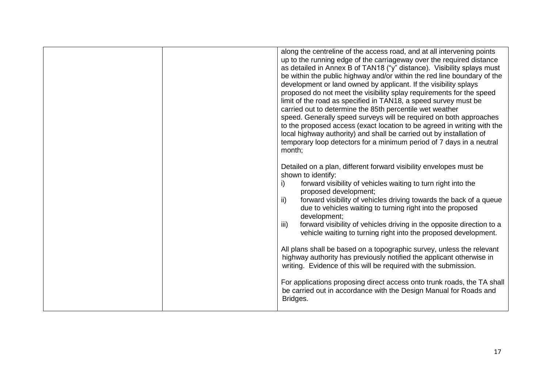| along the centreline of the access road, and at all intervening points<br>up to the running edge of the carriageway over the required distance<br>as detailed in Annex B of TAN18 ("y" distance). Visibility splays must<br>be within the public highway and/or within the red line boundary of the<br>development or land owned by applicant. If the visibility splays                                                                                                                                                                                                                                                                                                                                                                                                                                                                                                                 |
|-----------------------------------------------------------------------------------------------------------------------------------------------------------------------------------------------------------------------------------------------------------------------------------------------------------------------------------------------------------------------------------------------------------------------------------------------------------------------------------------------------------------------------------------------------------------------------------------------------------------------------------------------------------------------------------------------------------------------------------------------------------------------------------------------------------------------------------------------------------------------------------------|
| proposed do not meet the visibility splay requirements for the speed<br>limit of the road as specified in TAN18, a speed survey must be<br>carried out to determine the 85th percentile wet weather<br>speed. Generally speed surveys will be required on both approaches<br>to the proposed access (exact location to be agreed in writing with the<br>local highway authority) and shall be carried out by installation of<br>temporary loop detectors for a minimum period of 7 days in a neutral<br>month;                                                                                                                                                                                                                                                                                                                                                                          |
| Detailed on a plan, different forward visibility envelopes must be<br>shown to identify:<br>i)<br>forward visibility of vehicles waiting to turn right into the<br>proposed development;<br>ii)<br>forward visibility of vehicles driving towards the back of a queue<br>due to vehicles waiting to turning right into the proposed<br>development;<br>iii)<br>forward visibility of vehicles driving in the opposite direction to a<br>vehicle waiting to turning right into the proposed development.<br>All plans shall be based on a topographic survey, unless the relevant<br>highway authority has previously notified the applicant otherwise in<br>writing. Evidence of this will be required with the submission.<br>For applications proposing direct access onto trunk roads, the TA shall<br>be carried out in accordance with the Design Manual for Roads and<br>Bridges. |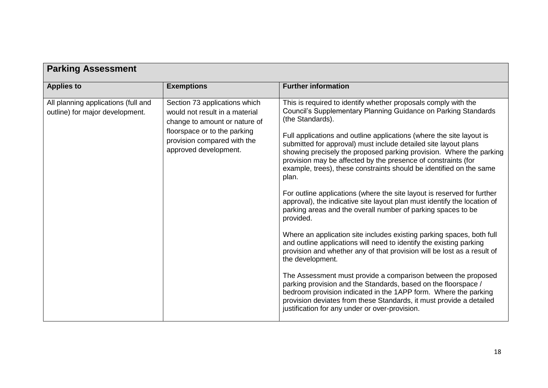| <b>Parking Assessment</b>                                              |                                                                                                                                                                                          |                                                                                                                                                                                                                                                                                                                                                                                                                                                                                                                                                                                                                                                                                                                                                                                                                                                                                                                                                                                                                                                                                                                                                                                                                                                                                                                                           |
|------------------------------------------------------------------------|------------------------------------------------------------------------------------------------------------------------------------------------------------------------------------------|-------------------------------------------------------------------------------------------------------------------------------------------------------------------------------------------------------------------------------------------------------------------------------------------------------------------------------------------------------------------------------------------------------------------------------------------------------------------------------------------------------------------------------------------------------------------------------------------------------------------------------------------------------------------------------------------------------------------------------------------------------------------------------------------------------------------------------------------------------------------------------------------------------------------------------------------------------------------------------------------------------------------------------------------------------------------------------------------------------------------------------------------------------------------------------------------------------------------------------------------------------------------------------------------------------------------------------------------|
| <b>Applies to</b>                                                      | <b>Exemptions</b>                                                                                                                                                                        | <b>Further information</b>                                                                                                                                                                                                                                                                                                                                                                                                                                                                                                                                                                                                                                                                                                                                                                                                                                                                                                                                                                                                                                                                                                                                                                                                                                                                                                                |
| All planning applications (full and<br>outline) for major development. | Section 73 applications which<br>would not result in a material<br>change to amount or nature of<br>floorspace or to the parking<br>provision compared with the<br>approved development. | This is required to identify whether proposals comply with the<br>Council's Supplementary Planning Guidance on Parking Standards<br>(the Standards).<br>Full applications and outline applications (where the site layout is<br>submitted for approval) must include detailed site layout plans<br>showing precisely the proposed parking provision. Where the parking<br>provision may be affected by the presence of constraints (for<br>example, trees), these constraints should be identified on the same<br>plan.<br>For outline applications (where the site layout is reserved for further<br>approval), the indicative site layout plan must identify the location of<br>parking areas and the overall number of parking spaces to be<br>provided.<br>Where an application site includes existing parking spaces, both full<br>and outline applications will need to identify the existing parking<br>provision and whether any of that provision will be lost as a result of<br>the development.<br>The Assessment must provide a comparison between the proposed<br>parking provision and the Standards, based on the floorspace /<br>bedroom provision indicated in the 1APP form. Where the parking<br>provision deviates from these Standards, it must provide a detailed<br>justification for any under or over-provision. |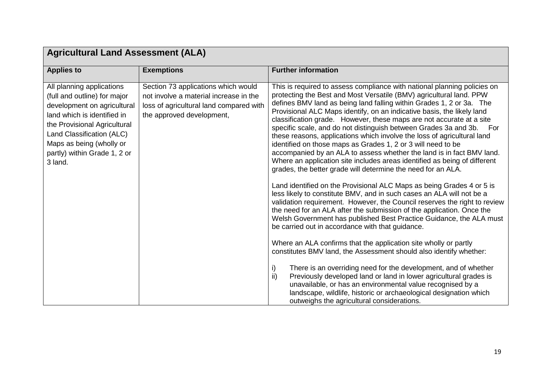| <b>Agricultural Land Assessment (ALA)</b>                                                                                                                                                                                                                   |                                                                                                                                                       |                                                                                                                                                                                                                                                                                                                                                                                                                                                                                                                                                                                                                                                                                                                                                                                                                                                                                                                                                                                                                                                                                                                                                                                                                                                                                                                                                                                                                                                                                                                                                                                                                                                                                                                                          |
|-------------------------------------------------------------------------------------------------------------------------------------------------------------------------------------------------------------------------------------------------------------|-------------------------------------------------------------------------------------------------------------------------------------------------------|------------------------------------------------------------------------------------------------------------------------------------------------------------------------------------------------------------------------------------------------------------------------------------------------------------------------------------------------------------------------------------------------------------------------------------------------------------------------------------------------------------------------------------------------------------------------------------------------------------------------------------------------------------------------------------------------------------------------------------------------------------------------------------------------------------------------------------------------------------------------------------------------------------------------------------------------------------------------------------------------------------------------------------------------------------------------------------------------------------------------------------------------------------------------------------------------------------------------------------------------------------------------------------------------------------------------------------------------------------------------------------------------------------------------------------------------------------------------------------------------------------------------------------------------------------------------------------------------------------------------------------------------------------------------------------------------------------------------------------------|
| <b>Applies to</b>                                                                                                                                                                                                                                           | <b>Exemptions</b>                                                                                                                                     | <b>Further information</b>                                                                                                                                                                                                                                                                                                                                                                                                                                                                                                                                                                                                                                                                                                                                                                                                                                                                                                                                                                                                                                                                                                                                                                                                                                                                                                                                                                                                                                                                                                                                                                                                                                                                                                               |
| All planning applications<br>(full and outline) for major<br>development on agricultural<br>land which is identified in<br>the Provisional Agricultural<br>Land Classification (ALC)<br>Maps as being (wholly or<br>partly) within Grade 1, 2 or<br>3 land. | Section 73 applications which would<br>not involve a material increase in the<br>loss of agricultural land compared with<br>the approved development, | This is required to assess compliance with national planning policies on<br>protecting the Best and Most Versatile (BMV) agricultural land. PPW<br>defines BMV land as being land falling within Grades 1, 2 or 3a. The<br>Provisional ALC Maps identify, on an indicative basis, the likely land<br>classification grade. However, these maps are not accurate at a site<br>specific scale, and do not distinguish between Grades 3a and 3b.<br>For<br>these reasons, applications which involve the loss of agricultural land<br>identified on those maps as Grades 1, 2 or 3 will need to be<br>accompanied by an ALA to assess whether the land is in fact BMV land.<br>Where an application site includes areas identified as being of different<br>grades, the better grade will determine the need for an ALA.<br>Land identified on the Provisional ALC Maps as being Grades 4 or 5 is<br>less likely to constitute BMV, and in such cases an ALA will not be a<br>validation requirement. However, the Council reserves the right to review<br>the need for an ALA after the submission of the application. Once the<br>Welsh Government has published Best Practice Guidance, the ALA must<br>be carried out in accordance with that guidance.<br>Where an ALA confirms that the application site wholly or partly<br>constitutes BMV land, the Assessment should also identify whether:<br>There is an overriding need for the development, and of whether<br>i)<br>ii)<br>Previously developed land or land in lower agricultural grades is<br>unavailable, or has an environmental value recognised by a<br>landscape, wildlife, historic or archaeological designation which<br>outweighs the agricultural considerations. |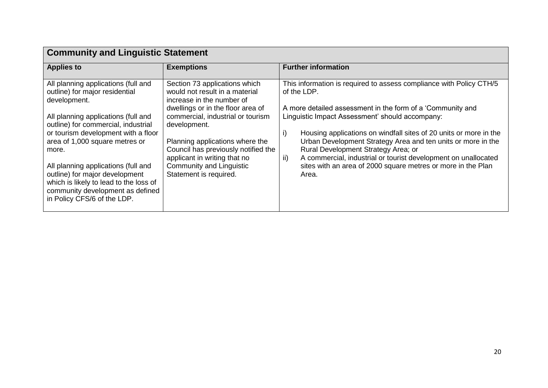| <b>Community and Linguistic Statement</b>                                                                                                                                                                                                                                                                                                                                                                                                   |                                                                                                                                                                                                                                                                                                                                                               |                                                                                                                                                                                                                                                                                                                                                                                                                                                                                                                                         |
|---------------------------------------------------------------------------------------------------------------------------------------------------------------------------------------------------------------------------------------------------------------------------------------------------------------------------------------------------------------------------------------------------------------------------------------------|---------------------------------------------------------------------------------------------------------------------------------------------------------------------------------------------------------------------------------------------------------------------------------------------------------------------------------------------------------------|-----------------------------------------------------------------------------------------------------------------------------------------------------------------------------------------------------------------------------------------------------------------------------------------------------------------------------------------------------------------------------------------------------------------------------------------------------------------------------------------------------------------------------------------|
| <b>Applies to</b>                                                                                                                                                                                                                                                                                                                                                                                                                           | <b>Exemptions</b>                                                                                                                                                                                                                                                                                                                                             | <b>Further information</b>                                                                                                                                                                                                                                                                                                                                                                                                                                                                                                              |
| All planning applications (full and<br>outline) for major residential<br>development.<br>All planning applications (full and<br>outline) for commercial, industrial<br>or tourism development with a floor<br>area of 1,000 square metres or<br>more.<br>All planning applications (full and<br>outline) for major development<br>which is likely to lead to the loss of<br>community development as defined<br>in Policy CFS/6 of the LDP. | Section 73 applications which<br>would not result in a material<br>increase in the number of<br>dwellings or in the floor area of<br>commercial, industrial or tourism<br>development.<br>Planning applications where the<br>Council has previously notified the<br>applicant in writing that no<br><b>Community and Linguistic</b><br>Statement is required. | This information is required to assess compliance with Policy CTH/5<br>of the LDP.<br>A more detailed assessment in the form of a 'Community and<br>Linguistic Impact Assessment' should accompany:<br>Housing applications on windfall sites of 20 units or more in the<br>i)<br>Urban Development Strategy Area and ten units or more in the<br>Rural Development Strategy Area; or<br>A commercial, industrial or tourist development on unallocated<br>ii)<br>sites with an area of 2000 square metres or more in the Plan<br>Area. |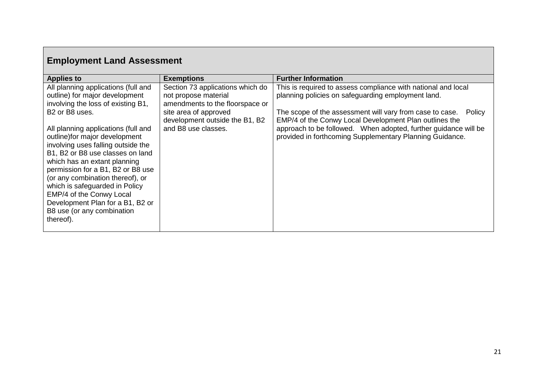| <b>Employment Land Assessment</b>                                                                                                                                                                                                                                                                                                                              |                                                                                                                                                                               |                                                                                                                                                                                                                                                                                                                        |
|----------------------------------------------------------------------------------------------------------------------------------------------------------------------------------------------------------------------------------------------------------------------------------------------------------------------------------------------------------------|-------------------------------------------------------------------------------------------------------------------------------------------------------------------------------|------------------------------------------------------------------------------------------------------------------------------------------------------------------------------------------------------------------------------------------------------------------------------------------------------------------------|
| <b>Applies to</b>                                                                                                                                                                                                                                                                                                                                              | <b>Exemptions</b>                                                                                                                                                             | <b>Further Information</b>                                                                                                                                                                                                                                                                                             |
| All planning applications (full and<br>outline) for major development<br>involving the loss of existing B1,<br>B2 or B8 uses.<br>All planning applications (full and                                                                                                                                                                                           | Section 73 applications which do<br>not propose material<br>amendments to the floorspace or<br>site area of approved<br>development outside the B1, B2<br>and B8 use classes. | This is required to assess compliance with national and local<br>planning policies on safeguarding employment land.<br>The scope of the assessment will vary from case to case.<br>Policy<br>EMP/4 of the Conwy Local Development Plan outlines the<br>approach to be followed. When adopted, further guidance will be |
| outline) for major development<br>involving uses falling outside the<br>B1, B2 or B8 use classes on land<br>which has an extant planning<br>permission for a B1, B2 or B8 use<br>(or any combination thereof), or<br>which is safeguarded in Policy<br>EMP/4 of the Conwy Local<br>Development Plan for a B1, B2 or<br>B8 use (or any combination<br>thereof). |                                                                                                                                                                               | provided in forthcoming Supplementary Planning Guidance.                                                                                                                                                                                                                                                               |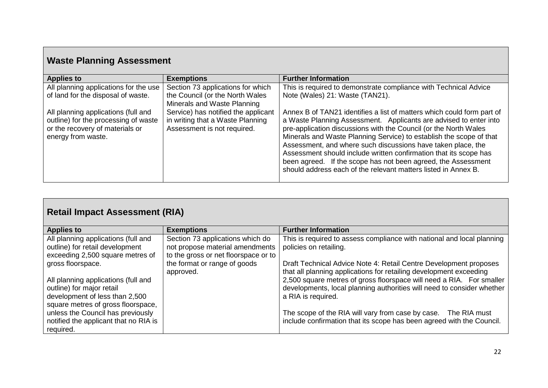## **Waste Planning Assessment**

| <b>Applies to</b>                                                       | <b>Exemptions</b>                                               | <b>Further Information</b>                                                                                                            |
|-------------------------------------------------------------------------|-----------------------------------------------------------------|---------------------------------------------------------------------------------------------------------------------------------------|
| All planning applications for the use                                   | Section 73 applications for which                               | This is required to demonstrate compliance with Technical Advice                                                                      |
| of land for the disposal of waste.                                      | the Council (or the North Wales<br>Minerals and Waste Planning  | Note (Wales) 21: Waste (TAN21).                                                                                                       |
| All planning applications (full and                                     | Service) has notified the applicant                             | Annex B of TAN21 identifies a list of matters which could form part of                                                                |
| outline) for the processing of waste<br>or the recovery of materials or | in writing that a Waste Planning<br>Assessment is not required. | a Waste Planning Assessment. Applicants are advised to enter into<br>pre-application discussions with the Council (or the North Wales |
| energy from waste.                                                      |                                                                 | Minerals and Waste Planning Service) to establish the scope of that                                                                   |
|                                                                         |                                                                 | Assessment, and where such discussions have taken place, the                                                                          |
|                                                                         |                                                                 | Assessment should include written confirmation that its scope has<br>been agreed. If the scope has not been agreed, the Assessment    |
|                                                                         |                                                                 | should address each of the relevant matters listed in Annex B.                                                                        |
|                                                                         |                                                                 |                                                                                                                                       |

| <b>Retail Impact Assessment (RIA)</b>                                                                                                                                                                                                                    |                                                                                                             |                                                                                                                                                                                                                                                                                                                                                                                                                                                            |  |  |  |
|----------------------------------------------------------------------------------------------------------------------------------------------------------------------------------------------------------------------------------------------------------|-------------------------------------------------------------------------------------------------------------|------------------------------------------------------------------------------------------------------------------------------------------------------------------------------------------------------------------------------------------------------------------------------------------------------------------------------------------------------------------------------------------------------------------------------------------------------------|--|--|--|
| <b>Applies to</b>                                                                                                                                                                                                                                        | <b>Exemptions</b>                                                                                           | <b>Further Information</b>                                                                                                                                                                                                                                                                                                                                                                                                                                 |  |  |  |
| All planning applications (full and<br>outline) for retail development<br>exceeding 2,500 square metres of                                                                                                                                               | Section 73 applications which do<br>not propose material amendments<br>to the gross or net floorspace or to | This is required to assess compliance with national and local planning<br>policies on retailing.                                                                                                                                                                                                                                                                                                                                                           |  |  |  |
| gross floorspace.<br>All planning applications (full and<br>outline) for major retail<br>development of less than 2,500<br>square metres of gross floorspace,<br>unless the Council has previously<br>notified the applicant that no RIA is<br>required. | the format or range of goods<br>approved.                                                                   | Draft Technical Advice Note 4: Retail Centre Development proposes<br>that all planning applications for retailing development exceeding<br>2,500 square metres of gross floorspace will need a RIA. For smaller<br>developments, local planning authorities will need to consider whether<br>a RIA is required.<br>The scope of the RIA will vary from case by case. The RIA must<br>include confirmation that its scope has been agreed with the Council. |  |  |  |